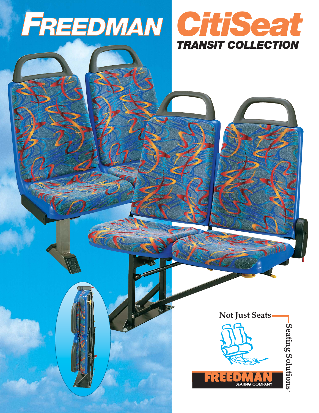